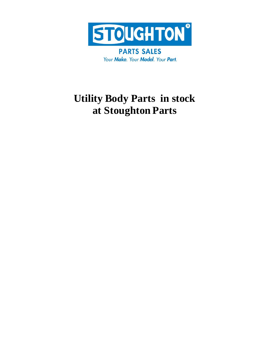

**PARTS SALES** Your Make. Your Model. Your Part.

## **Utility Body Parts in stock at Stoughton Parts**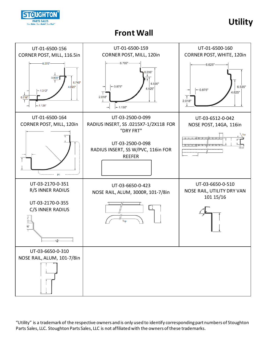

### **Utility**

#### **Front Wall**

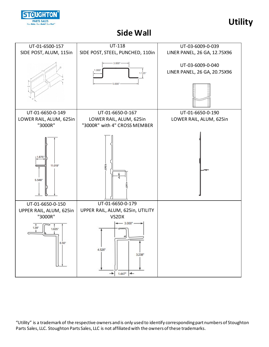

**Utility**

#### **Side Wall**

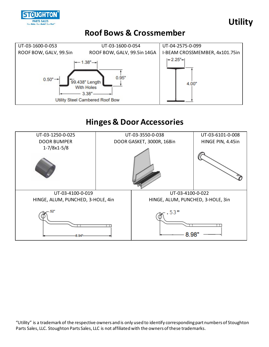



#### **Roof Bows & Crossmember**



#### **Hinges & Door Accessories**

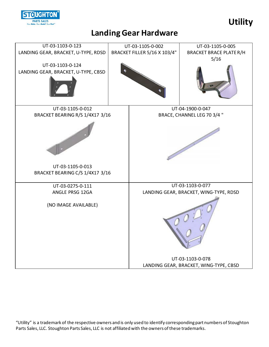

#### **Landing Gear Hardware**

**Utility**